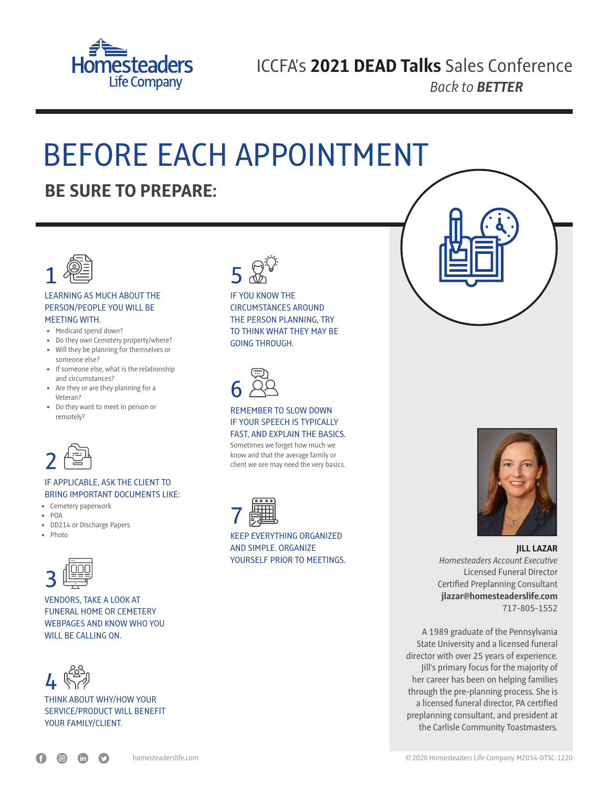

# BEFORE EACH APPOINTMENT

### **BE SURE TO PREPARE:**



#### LEARNING AS MUCH ABOUT THE PERSON/PEOPLE YOU WILL BE MEETING WITH.

- Medicaid spend down?
- Do they own Cemetery property/where?
- Will they be planning for themselves or someone else?
- If someone else, what is the relationship and circumstances?
- Are they or are they planning for a Veteran?
- Do they want to meet in person or remotely?



### IF APPLICABLE, ASK THE CLIENT TO BRING IMPORTANT DOCUMENTS LIKE:

- Cemetery paperwork
- $\bullet$  POA
- DD214 or Discharge Papers
- Photo



VENDORS, TAKE A LOOK AT FUNERAL HOME OR CEMETERY WEBPAGES AND KNOW WHO YOU WILL BE CALLING ON.



THINK ABOUT WHY/HOW YOUR SERVICE/PRODUCT WILL BENEFIT YOUR FAMILY/CLIENT.



#### IF YOU KNOW THE CIRCUMSTANCES AROUND THE PERSON PLANNING, TRY TO THINK WHAT THEY MAY BE GOING THROUGH.



#### REMEMBER TO SLOW DOWN IF YOUR SPEECH IS TYPICALLY FAST, AND EXPLAIN THE BASICS.

Sometimes we forget how much we know and that the average family or client we see may need the very basics.



KEEP EVERYTHING ORGANIZED AND SIMPLE. ORGANIZE YOURSELF PRIOR TO MEETINGS.





**JILL LAZAR** *Homesteaders Account Executive* Licensed Funeral Director Certified Preplanning Consultant **jlazar@homesteaderslife.com** 717-805-1552

A 1989 graduate of the Pennsylvania State University and a licensed funeral director with over 25 years of experience. Jill's primary focus for the majority of her career has been on helping families through the pre-planning process. She is a licensed funeral director, PA certified preplanning consultant, and president at the Carlisle Community Toastmasters.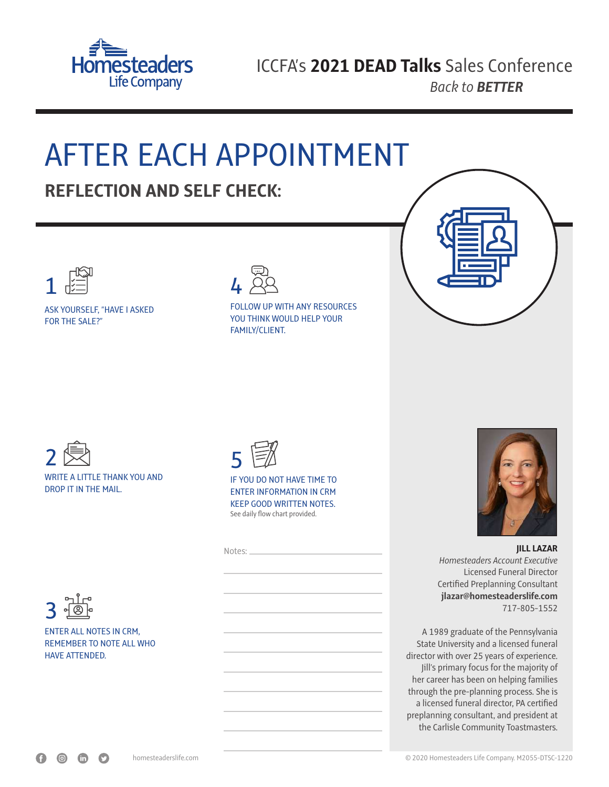

### AFTER EACH APPOINTMENT **REFLECTION AND SELF CHECK:**



ASK YOURSELF, "HAVE I ASKED FOR THE SALE?"



#### FOLLOW UP WITH ANY RESOURCES YOU THINK WOULD HELP YOUR FAMILY/CLIENT.









HAVE ATTENDED.



See daily flow chart provided. IF YOU DO NOT HAVE TIME TO ENTER INFORMATION IN CRM KEEP GOOD WRITTEN NOTES.

| Notes: |  |
|--------|--|
|        |  |
|        |  |
|        |  |
|        |  |
|        |  |
|        |  |
|        |  |
|        |  |
|        |  |
|        |  |
|        |  |



**JILL LAZAR** *Homesteaders Account Executive* Licensed Funeral Director Certified Preplanning Consultant **jlazar@homesteaderslife.com** 717-805-1552

A 1989 graduate of the Pennsylvania State University and a licensed funeral director with over 25 years of experience. Jill's primary focus for the majority of her career has been on helping families through the pre-planning process. She is a licensed funeral director, PA certified preplanning consultant, and president at the Carlisle Community Toastmasters.